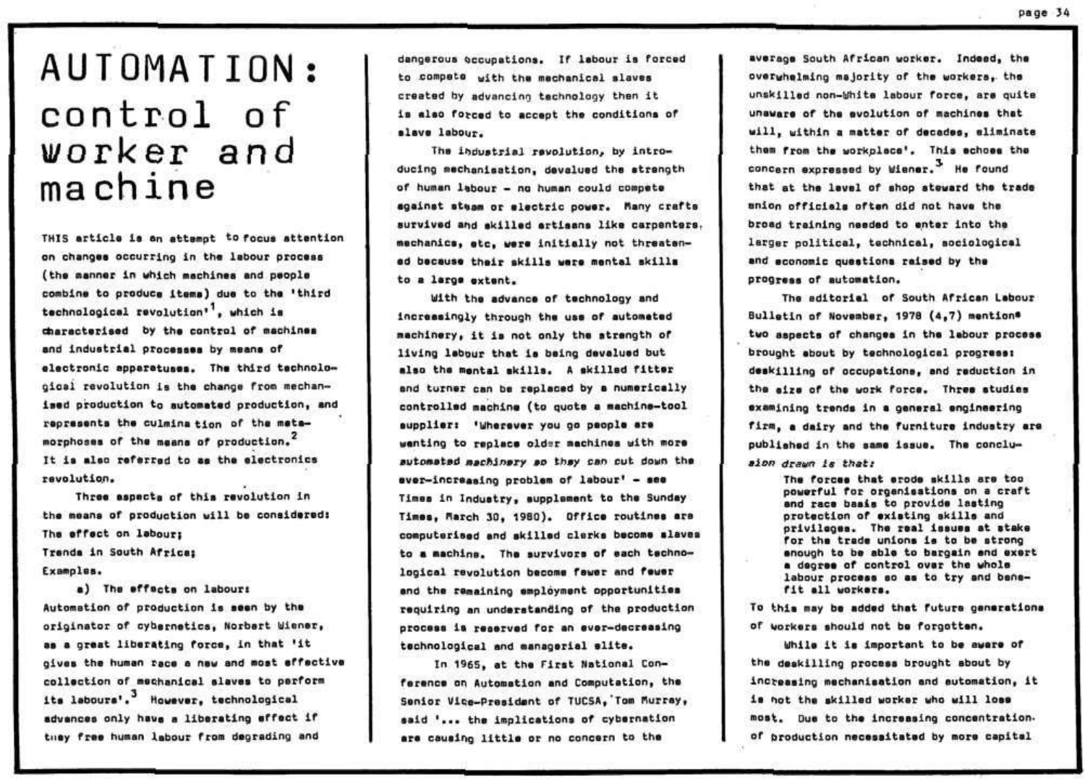## AUTOMATION: control of worker and machine

THIS article is an attempt to focus attention on changes occurring in the labour process (the asnner in which machines and people combine to produce items) due to the 'third technological revolution", which is characterised by the control of machines and industrial processes by means of electronic apperatuses. The third technological revolution is the change from mechanised production to automated production, and represents the culmination of the metamorphoses of the means of production. It is also referred to as the electronics revolution.

Three aspects of this revolution in the means of production will be considered: The effect on labour: Trenda in South Africa: Examples.

a) The effects on labour: Automation of production is seen by the originator of cybernetics, Norbert Wiener, as a great liberating force, in that 'it gives the human race a new and most effective collection of mechanical alaves to perform its labours'.<sup>3</sup> However, technological advences only have a liberating effect if they free human labour from degrading and

dangerous occupations. If labour is forced to compete with the mechanical slaves created by advancing technology then it is also forced to accept the conditions of slave labour.

The industrial revolution, by introducing mechanisation, devalued the strength of human labour - no human could compete against steam or electric power. Many crafts survived and skilled artisans like carpenters. mechanics, etc. were initially not threatened because their skills were mental skills to a large extent.

With the advance of technology and increasingly through the use of automated machinery, it is not only the strength of living labour that is being devalued but also the mental skills. A skilled fitter and turner can be replaced by a numerically controlled machine (to quote a machine-tool supplier: 'Wherever you go people are wenting to replace older machines with more automated machinery ao they can cut down the ever-increasing problem of labour' - see Times in Industry, supplement to the Sunday Times, March 30, 1980). Office routines are computerised and skilled clerks become slaves to a machine. The survivors of each technological revolution become fawer and fewer and the remaining employment opportunities requiring an understanding of the production process is reserved for an ever-decreasing technological and managerial slite.

In 1965, at the First National Conference on Automation and Computation, the Senior Vice-President of TUCSA, Tom Murray, said '... the implications of cybernation are causing little or no concern to the

average South African worker. Indeed, the overwhelming majority of the workers, the unskilled non-White labour force, are quite unaware of the evolution of machines that will, within a matter of decades, eliminate them from the workplace'. This echoes the concern expressed by Wiener. He found that at the level of shop steward the trade enion officials often did not have the broad training needed to enter into the larger political, technical, sociological and economic questions raised by the progress of automation,

The aditorial of South African Labour Bulletin of November, 1978 (4,7) mention® two aspects of changes in the labour process brought about by technological progress: deskilling of occupations, and reduction in the size of the work force. Three studies examining trends in a general engineering firm, a dairy and the furniture industry are published in the same issue. The concluaion drawn is that:

> The forces that srode skills are too powerful for organisations on a craft and race basis to provide lasting protection of existing skills and privileges. The real issues at stake for the trade unions is to be strong enough to be able to bargain and exert a degree of control over the whole labour process so as to try and benefit all workers.

To this may be added that future generations of workers should not be forgotten.

While it is important to be aware of the deskilling process brought sbout by increasing mechanisation and automation, it is not the skilled worker who will loss most. Due to the increasing concentration. of broduction necessitated by more capital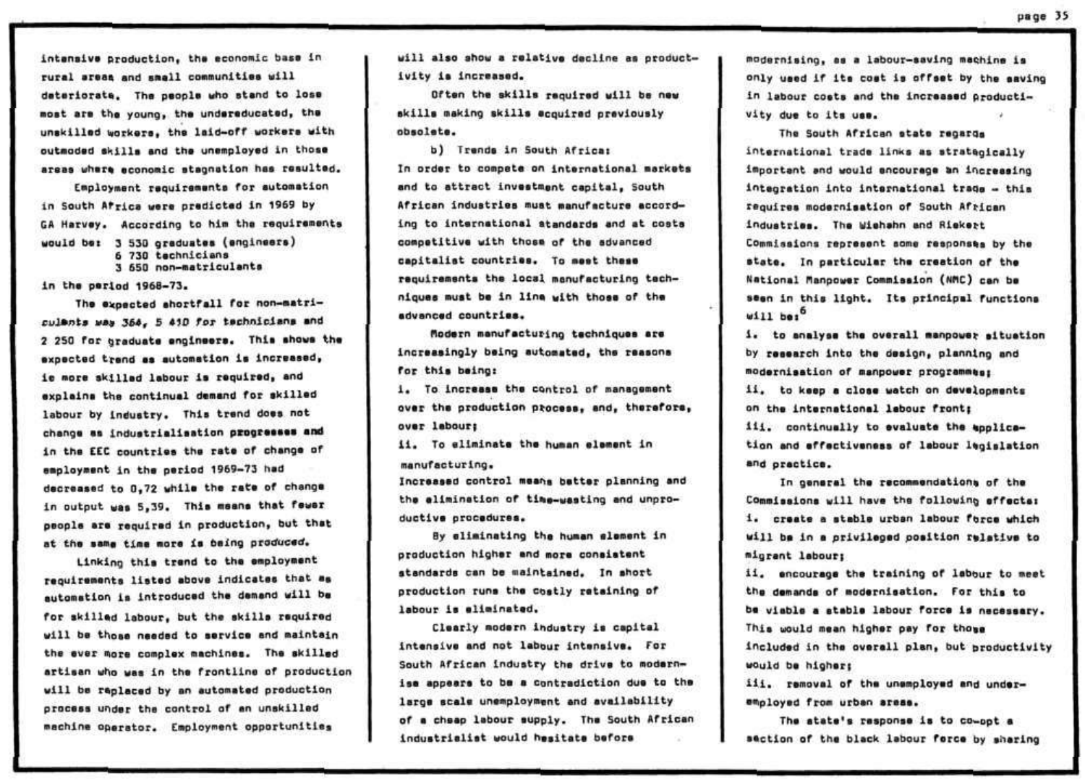intansive production, the economic base in rural areas and small communities will dateriorate. The people who stand to lose **•oat ara tha young, tha undereduceted, tha unekilled workers, tha leid-of f workere with**   $out$ moded skills and the unemployed in those areas where aconomic stagnation has resulted.

**Employment requirements for automation in South Africa were pradictad in 1969 hy GA Harvey. According to him tha raquirananta would bai 3 530 graduataa (anglnaara) 6 730 tachniciana 3 650 non—matriculente** 

**in tha pariod 1968-73.** 

**Tha expected §hortfall for non-matri**culants was 364, 5 410 for technicians and **2 250 for graduata anglnaara\* This ahowa tha**   $a$  **axpected trend as automation is increased**, ie more skilled labour is required, and explains the continual demand for skilled labour by industry. This trand does not **change aa induatrielleatlo n progreeoeo and in tha EEC countriaa the rete or change of**  employment in the period 1969-73 had decreased to 0.72 while the rate of change in output was 5,39. This means that fewer people are required in production, but that **at the eMe tiaa aore i a being produced.** 

**Linking this trend to the employment** requirements listed above indicates that as automation is introduced the demand will be for skilled labour, but the skills required **wil l ba thoaa needed to aarvice and maintain**  the ever more complex machines. The skilled artisan who was in the frontline of production **will be replaced by an automated production proceea under tha control of an unakilled**  machine operator. Employment opportunities

will also show a relative decline as product**ivit y i a incraaaad.** 

Often the skills required will be new **aklll a making aklll e acquired previously obsolete.** 

**b)** Trende in South Africat **In order to compete on internetional marketa**  and to attract investment capital, South African industries must manufacture according to international atandards and at costs **competitive with thoja of the advanced capltaliat countries. To meet theee requirementa tha local menufecturing tech**niques must be in line with those of the advanced countries.

**Plodorn manufacturing techniqueo are lncraaaingly being automatedv the reeeona for thia being:** 

1. To increase the control of management over the production process, and, therefore, **over lebourf** 

**1 1 . To aliminate tha human element i n manufacturing.** 

**Increaeed control means better plenning and the elimlnetion of tlme-waeting end unproductive procoduree.** 

By eliminating the human element in **production higher and mora coneietent**  standards can be maintained. In short **production rune tha costly rateining of lebour i s eliminated.** 

**Clearly modern industry is capital Intenelve and not labour intoneive. For South African induetry the drive to moderni se appeere to be a contradiction due to tha**  large scale unemployment and availability **of a cheep lebour supply. The South African industrialist would heeitate before** 

**modernieing, aa a lebour-eavlng machine i a only uaed i f lt e coet i s offset by the eevlng**  in labour coets and the increased productivity due to its use.

**Tha South African stat e regarda internetional trade links ee etrateglcall y important end would ancourege an increaalng intagretion into internetional trade - thi e requires modarnieation of South African induetriee. The Wlehehn end Rlekert Commissions represent some reeponeee by the**   $\mathbf{a}$  **tate.** In particular the creation of the **National flenpower Commission (MC ) cen ba seen in this light. Its principal functions**  $w111$  bei<sup>0</sup>

1. to analyse the overall manpower situation by research into the design, planning and **modarnieation of manpower programmeai i i \* to keep a close watch on developmenta on tha international labour frontf**  iii. continually to evaluate the application and effectiveness of labour legislation and practice.

In general the recommendations of the Commissions will have the following effects: **1\* creete a ateble urban lebour force which wil l be i n e privilege d poeltion reletlve to migrant labour|** 

ii. encourage the training of labour to meet the demands of modernisation. For this to be viable a stable labour force is necessary. This would mean higher pay for those **included** in the overall plan, but productivity **would ba higheri** 

**iii . removal of the unampioyad end underemployed from urban areas.** 

**The etate\*e reepon»a i s to co-opt a section of the block lebour force by sharing**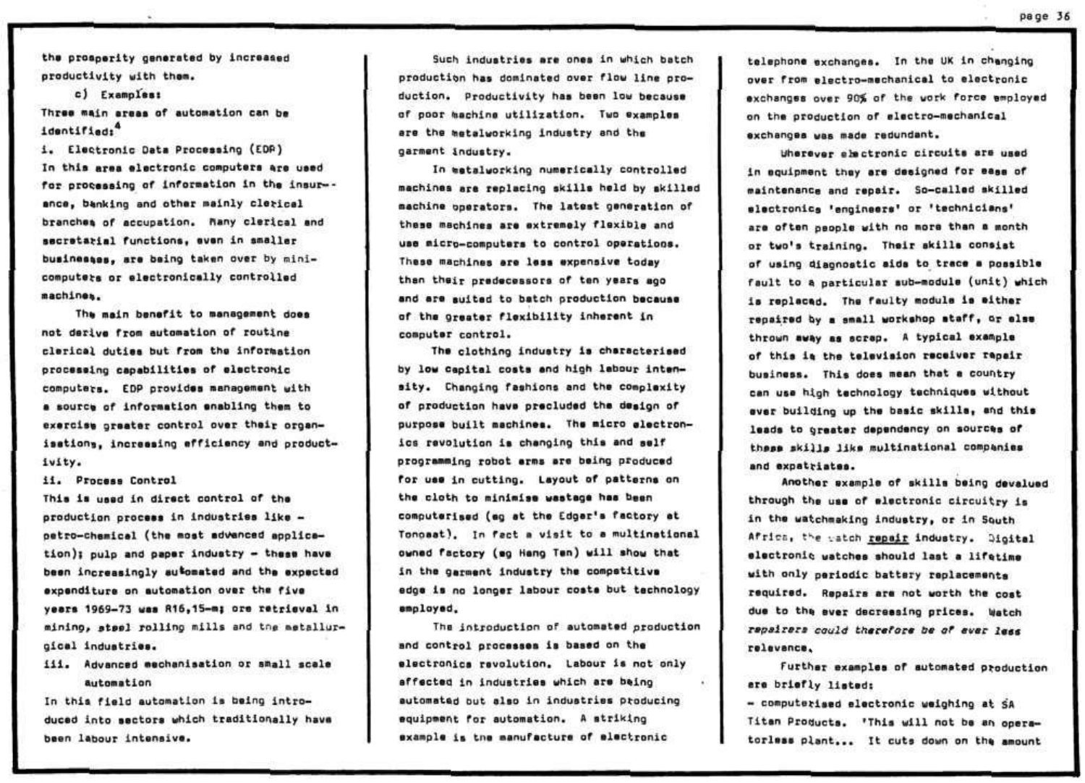the prosperity generated by increased productivity with them.

c) Examples:

Three main areas of automation can be identified:<sup>4</sup>

i. Electronic Data Processing (EDP) In this area electronic computers are used for processing of information in the insur-ance, banking and other mainly clerical branches of accupation. Nany clerical and secretarial functions, even in smaller businesses, are being taken over by minicomputers or electronically controlled machines.

The main benefit to management does not derive from automation of routine clerical duties but from the information processing capabilities of electronic computers. EDP provides management with a source of information enabling them to exercise greater control over their organisations, increasing efficiency and productivity.

ii. Process Control

This is used in direct control of the production process in industries like petro-chamical (the most advanced application); pulp and paper industry - these have been increasingly automated and the expected expenditure on automation over the five years 1969-73 was R16,15-m; ore retrievel in mining, steel rolling mills and the metallurgical industries.

iii. Advanced mechanisation or small scale automation

In this field automation is being introduced into sectors which traditionally have been labour intensive.

Such industries are ones in which batch production has dominated over flow line production. Productivity has been low because of poor machine utilization. Two examples are the metalworking industry and the garment industry.

In metalworking numerically controlled machines are replacing skills held by skilled machine operators. The latest generation of these machines are extremely flexible and use micro-computers to control operations. These machines are less expensive today than their predecessors of ten years ago and are suited to batch production because of the orester flexibility inherent in computer control.

The clothing industry is characterised by low capital costs and high labour intensity. Changing fashions and the complexity of production have precluded the design of purpose built machines. The micro electronics revolution is changing this and self programming robot arms are being produced for use in cutting. Layout of patterns on the cloth to minimise wastage has been computerised (eq at the Edger's factory at Tonomat). In fact a visit to a multinational owned factory (eg Hang Ten) will show that in the garment industry the competitive edge is no longer labour costs but technology employed.

The introduction of automated production and control processes is based on the electronics revolution. Labour is not only affected in industries which are being automated but also in industries producing equipment for automation. A striking example is the manufacture of electronic

telephone exchanges. In the UK in changing over from electro-mechanical to electronic exchanges over 90% of the work force employed on the production of electro-mechanical exchanges was made redundant.

Uherever shectronic circuits are used in equipment they are designed for ease of maintenance and repair. So-called skilled slectronics 'engineers' or 'technicians' are often secole with no more than a month or two's training. Their skills consist of using diagnostic aids to trace a possible fault to a particular sub-module (unit) which is replaced. The faulty module is either repaired by a small workshop staff, or else thrown away as screp. A typical example of this is the television receiver rapeir business. This does mean that a country can use high technology techniques without ever building up the basic skills, and this leads to greater dependency on sources of these skills like multinational companies and expatriates.

Another sxample of skills being devalued through the use of electronic circuitry is in the watchmaking industry, or in South Africa, the gatch repair industry. Dioital electronic watches should last a lifetime with only periodic battery replacements required. Repairs are not worth the cost due to the ever decreesing prices. Watch repairers could therefore be of ever less relevance,

Further examples of automated production are briefly listed:

- computerised electronic weighing at SA Titan Products. 'This will not be an operatorless plant... It cuts down on the amount